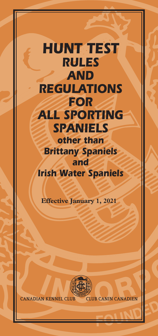# *HUNT TEST RULES AND REGULATIONS FOR ALL SPORTING SPANIELS other than Brittany Spaniels and Irish Water Spaniels*

**Effective January 1, 2021**



**CANADIAN KENNEL CLUB CLUB CANIN CANADIEN**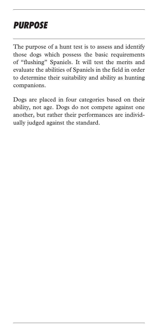# *PURPOSE*

The purpose of a hunt test is to assess and identify those dogs which possess the basic requirements of "flushing" Spaniels. It will test the merits and evaluate the abilities of Spaniels in the field in order to determine their suitability and ability as hunting companions.

Dogs are placed in four categories based on their ability, not age. Dogs do not compete against one another, but rather their performances are individually judged against the standard.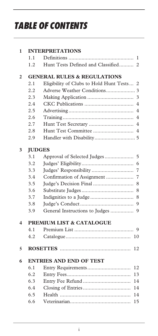# *TABLE OF CONTENTS*

| 1              |                                        | <b>INTERPRETATIONS</b>                              |  |  |  |
|----------------|----------------------------------------|-----------------------------------------------------|--|--|--|
|                | 1.1                                    | 1                                                   |  |  |  |
|                | 1.2                                    | Hunt Tests Defined and Classified<br>$\overline{2}$ |  |  |  |
| $\overline{2}$ | <b>GENERAL RULES &amp; REGULATIONS</b> |                                                     |  |  |  |
|                | 2.1                                    | Eligibility of Clubs to Hold Hunt Tests<br>2        |  |  |  |
|                | 2.2                                    |                                                     |  |  |  |
|                | 2.3                                    | 3                                                   |  |  |  |
|                | 2.4                                    | 4                                                   |  |  |  |
|                | 2.5                                    | 4                                                   |  |  |  |
|                | 2.6                                    | $\overline{4}$                                      |  |  |  |
|                | 2.7                                    | Hunt Test Secretary<br>$\overline{4}$               |  |  |  |
|                | 2.8                                    |                                                     |  |  |  |
|                | 2.9                                    |                                                     |  |  |  |
| 3              | <b>JUDGES</b>                          |                                                     |  |  |  |
|                | 3.1                                    | Approval of Selected Judges<br>5                    |  |  |  |
|                | 3.2                                    | 6                                                   |  |  |  |
|                | 3.3                                    | 7                                                   |  |  |  |
|                | 3.4                                    | Confirmation of Assignment<br>7                     |  |  |  |
|                | 3.5                                    | 8                                                   |  |  |  |
|                | 3.6                                    | 8                                                   |  |  |  |
|                | 3.7                                    | Indignities to a Judge<br>8                         |  |  |  |
|                | 3.8                                    | 9                                                   |  |  |  |
|                | 3.9                                    | General Instructions to Judges<br>9                 |  |  |  |
| 4              | <b>PREMIUM LIST &amp; CATALOGUE</b>    |                                                     |  |  |  |
|                | 4.1                                    | 9                                                   |  |  |  |
|                | 4.2                                    | 10                                                  |  |  |  |
| 5              |                                        | 12                                                  |  |  |  |
| 6              | <b>ENTRIES AND END OF TEST</b>         |                                                     |  |  |  |
|                | 6.1                                    | 12                                                  |  |  |  |
|                | 6.2                                    | 13                                                  |  |  |  |
|                | 6.3                                    | 14                                                  |  |  |  |
|                | 6.4                                    | 14                                                  |  |  |  |
|                | 6.5                                    | 14                                                  |  |  |  |
|                | 6.6                                    | 15                                                  |  |  |  |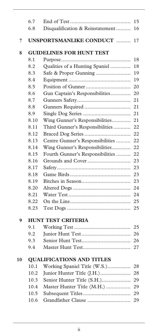|    | 6.7                             |                                  | 15 |  |  |
|----|---------------------------------|----------------------------------|----|--|--|
|    | 6.8                             | Disqualification & Reinstatement | 16 |  |  |
| 7  |                                 | <b>UNSPORTSMANLIKE CONDUCT </b>  | 17 |  |  |
| 8  | <b>GUIDELINES FOR HUNT TEST</b> |                                  |    |  |  |
|    | 8.1                             |                                  | 18 |  |  |
|    | 8.2                             | Qualities of a Hunting Spaniel   | 18 |  |  |
|    | 8.3                             | Safe & Proper Gunning            | 19 |  |  |
|    | 8.4                             |                                  | 19 |  |  |
|    | 8.5                             |                                  | 20 |  |  |
|    | 8.6                             | Gun Captain's Responsibilities   | 20 |  |  |
|    | 8.7                             |                                  | 21 |  |  |
|    | 8.8                             |                                  | 21 |  |  |
|    | 8.9                             |                                  | 21 |  |  |
|    | 8.10                            | Wing Gunner's Responsibilities   | 21 |  |  |
|    | 8.11                            | Third Gunner's Responsibilities  | 22 |  |  |
|    | 8.12                            |                                  | 22 |  |  |
|    | 8.13                            | Centre Gunner's Responsibilities | 22 |  |  |
|    | 8.14                            | Wing Gunner's Responsibilities   | 22 |  |  |
|    | 8.15                            | Fourth Gunner's Responsibilities | 22 |  |  |
|    | 8.16                            |                                  | 23 |  |  |
|    | 8.17                            |                                  | 23 |  |  |
|    | 8.18                            |                                  | 23 |  |  |
|    | 8.19                            |                                  | 23 |  |  |
|    | 8.20                            |                                  | 24 |  |  |
|    | 8.21                            |                                  | 24 |  |  |
|    | 8.22                            |                                  | 25 |  |  |
|    | 8.23                            |                                  | 25 |  |  |
| 9  | <b>HUNT TEST CRITERIA</b>       |                                  |    |  |  |
|    | 9.1                             |                                  | 25 |  |  |
|    | 9.2                             |                                  | 26 |  |  |
|    | 9.3                             |                                  | 26 |  |  |
|    | 9.4                             |                                  | 27 |  |  |
| 10 |                                 | <b>QUALIFICATIONS AND TITLES</b> |    |  |  |
|    | 10.1                            | Working Spaniel Title (W.S.)     | 28 |  |  |
|    | 10.2                            | Junior Hunter Title (J.H.)       | 28 |  |  |
|    | 10.3                            | Senior Hunter Title (S.H.)       | 29 |  |  |
|    | 10.4                            | Master Hunter Title (M.H.)       | 29 |  |  |
|    | 10.5                            |                                  | 29 |  |  |
|    | 10.6                            | Grandfather Clause               | 29 |  |  |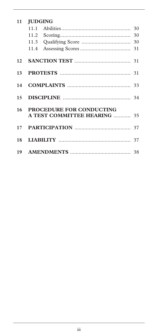| 11     | <b>JUDGING</b>                                                         |  |  |
|--------|------------------------------------------------------------------------|--|--|
|        |                                                                        |  |  |
|        |                                                                        |  |  |
|        |                                                                        |  |  |
|        |                                                                        |  |  |
| 12     |                                                                        |  |  |
| 13     |                                                                        |  |  |
| 14     |                                                                        |  |  |
| 15     |                                                                        |  |  |
| $16-1$ | <b>PROCEDURE FOR CONDUCTING</b><br><b>A TEST COMMITTEE HEARING  35</b> |  |  |
| 17     |                                                                        |  |  |
| 18     |                                                                        |  |  |
| 19     |                                                                        |  |  |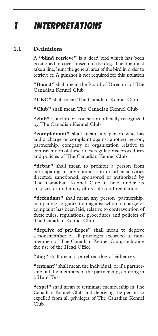# *1 INTERPRETATIONS*

## **1.1 Definitions**

A **"blind retrieve"** is a dead bird which has been positioned in cover unseen to the dog. The dog must take a line, hunt the general area of the bird in order to retrieve it. A gunshot is not required for this situation

**"Board"** shall mean the Board of Directors of The Canadian Kennel Club

**"CKC"** shall mean The Canadian Kennel Club

**"Club"** shall mean The Canadian Kennel Club

"club" is a club or association officially recognized by The Canadian Kennel Club

**"complainant"** shall mean any person who has laid a charge or complaint against another person, partnership, company or organization relative to contravention of these rules, regulations, procedures and policies of The Canadian Kennel Club

**"debar"** shall mean to prohibit a person from participating in any competition or other activities directed, sanctioned, sponsored or authorized by The Canadian Kennel Club if held under its auspices or under any of its rules and regulations

**"defendant"** shall mean any person, partnership, company or organization against whom a charge or complaint has been laid, relative to contravention of these rules, regulations, procedures and policies of The Canadian Kennel Club

**"deprive of privileges"** shall mean to deprive a non-member of all privileges accorded to nonmembers of The Canadian Kennel Club, including the use of the Head Office

**"dog"** shall mean a purebred dog of either sex

**"entrant"** shall mean the individual, or if a partnership, all the members of the partnership, entering in a Hunt Test

**"expel"** shall mean to terminate membership in The Canadian Kennel Club and depriving the person so expelled from all privileges of The Canadian Kennel Club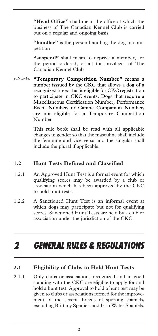**"Head Office"** shall mean the office at which the business of The Canadian Kennel Club is carried out on a regular and ongoing basis

**"handler"** is the person handling the dog in competition

**"suspend"** shall mean to deprive a member, for the period ordered, of all the privileges of The Canadian Kennel Club

**"Temporary Competition Number"** means a *(01-05-18)* number isssued by the CKC that allows a dog of a recognized breed that is eligible for CKC registration to participate in CKC events. Dogs that require a Miscellaneous Certification Number, Performance Event Number, or Canine Companion Number, are not eligible for a Temporary Competition Number

> This rule book shall be read with all applicable changes in gender so that the masculine shall include the feminine and vice versa and the singular shall include the plural if applicable.

#### **1.2 Hunt Tests Defined and Classified**

- 1.2.1 An Approved Hunt Test is a formal event for which qualifying scores may be awarded by a club or association which has been approved by the CKC to hold hunt tests.
- 1.2.2 A Sanctioned Hunt Test is an informal event at which dogs may participate but not for qualifying scores. Sanctioned Hunt Tests are held by a club or association under the jurisdiction of the CKC.

# *2 GENERAL RULES & REGULATIONS*

#### **2.1 Eligibility of Clubs to Hold Hunt Tests**

2.1.1 Only clubs or associations recognized and in good standing with the CKC are eligible to apply for and hold a hunt test. Approval to hold a hunt test may be given to clubs or associations formed for the improvement of the several breeds of sporting spaniels, excluding Brittany Spaniels and Irish Water Spaniels.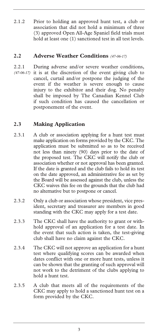2.1.2 Prior to holding an approved hunt test, a club or association that did not hold a minimum of three (3) approved Open All-Age Spaniel field trials must hold at least one (1) sanctioned test in all test levels.

#### **2.2 Adverse Weather Conditions** *(47-06-17)*

2.2.1 During adverse and/or severe weather conditions, it is at the discretion of the event giving club to cancel, curtail and/or postpone the judging of the event if the weather is severe enough to cause injury to the exhibitor and their dog. No penalty shall be imposed by The Canadian Kennel Club if such condition has caused the cancellation or postponement of the event. *(47-06-17)* 

# **2.3 Making Application**

- 2.3.1 A club or association applying for a hunt test must make application on forms provided by the CKC. The application must be submitted so as to be received not less than ninety (90) days prior to the date of the proposed test. The CKC will notify the club or association whether or not approval has been granted. If the date is granted and the club fails to hold its test on the date approved, an administrative fee as set by the Board will be assessed against the club, unless the CKC waives this fee on the grounds that the club had no alternative but to postpone or cancel.
- 2.3.2 Only a club or association whose president, vice president, secretary and treasurer are members in good standing with the CKC may apply for a test date.
- 2.3.3 The CKC shall have the authority to grant or withhold approval of an application for a test date. In the event that such action is taken, the test-giving club shall have no claim against the CKC.
- 2.3.4 The CKC will not approve an application for a hunt test where qualifying scores can be awarded when dates conflict with one or more hunt tests, unless it can be shown that the granting of such approval will not work to the detriment of the clubs applying to hold a hunt test.
- 2.3.5 A club that meets all of the requirements of the CKC may apply to hold a sanctioned hunt test on a form provided by the CKC.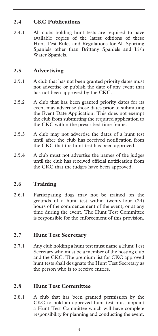# **2.4 CKC Publications**

2.4.1 All clubs holding hunt tests are required to have available copies of the latest editions of these Hunt Test Rules and Regulations for All Sporting Spaniels other than Brittany Spaniels and Irish Water Spaniels.

### **2.5 Advertising**

- 2.5.1 A club that has not been granted priority dates must not advertise or publish the date of any event that has not been approved by the CKC.
- 2.5.2 A club that has been granted priority dates for its event may advertise those dates prior to submitting the Event Date Application. This does not exempt the club from submitting the required application to the CKC within the prescribed time frame.
- 2.5.3 A club may not advertise the dates of a hunt test until after the club has received notification from the CKC that the hunt test has been approved.
- 2.5.4 A club must not advertise the names of the judges until the club has received official notification from the CKC that the judges have been approved.

## **2.6 Training**

2.6.1 Participating dogs may not be trained on the grounds of a hunt test within twenty-four (24) hours of the commencement of the event, or at any time during the event. The Hunt Test Committee is responsible for the enforcement of this provision.

#### **2.7 Hunt Test Secretary**

2.7.1 Any club holding a hunt test must name a Hunt Test Secretary who must be a member of the hosting club and the CKC. The premium list for CKC approved hunt tests shall designate the Hunt Test Secretary as the person who is to receive entries.

#### **2.8 Hunt Test Committee**

2.8.1 A club that has been granted permission by the CKC to hold an approved hunt test must appoint a Hunt Test Committee which will have complete responsibility for planning and conducting the event.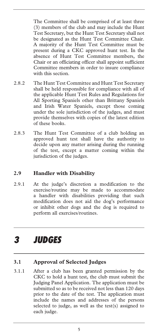The Committee shall be comprised of at least three (3) members of the club and may include the Hunt Test Secretary, but the Hunt Test Secretary shall not be designated as the Hunt Test Committee Chair. A majority of the Hunt Test Committee must be present during a CKC approved hunt test. In the absence of Hunt Test Committee members, the Chair or an officiating officer shall appoint sufficient Committee members in order to insure compliance with this section.

- 2.8.2 The Hunt Test Committee and Hunt Test Secretary shall be held responsible for compliance with all of the applicable Hunt Test Rules and Regulations for All Sporting Spaniels other than Brittany Spaniels and Irish Water Spaniels, except those coming under the sole jurisdiction of the judges, and must provide themselves with copies of the latest edition of these books.
- 2.8.3 The Hunt Test Committee of a club holding an approved hunt test shall have the authority to decide upon any matter arising during the running of the test, except a matter coming within the jurisdiction of the judges.

#### **2.9 Handler with Disability**

2.9.1 At the judge's discretion a modification to the exercise/routine may be made to accommodate a handler with disabilities providing that such modification does not aid the dog's performance or inhibit other dogs and the dog is required to perform all exercises/routines.

# *3 JUDGES*

#### **3.1 Approval of Selected Judges**

3.1.1 After a club has been granted permission by the CKC to hold a hunt test, the club must submit the Judging Panel Application. The application must be submitted so as to be received not less than 120 days prior to the date of the test. The application must include the names and addresses of the persons selected to judge, as well as the test(s) assigned to each judge.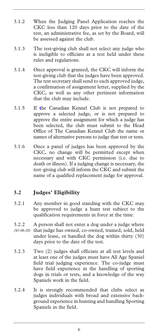- 3.1.2 When the Judging Panel Application reaches the CKC less than 120 days prior to the date of the test, an administrative fee, as set by the Board, will be assessed against the club.
- 3.1.3 The test-giving club shall not select any judge who is ineligible to officiate at a test held under these rules and regulations.
- 3.1.4 Once approval is granted, the CKC will inform the test-giving club that the judges have been approved. The test secretary shall send to each approved judge, a confirmation of assignment letter, supplied by the CKC, as well as any other pertinent information that the club may include.
- 3.1.5 If **t**he Canadian Kennel Club is not prepared to approve a selected judge, or is not prepared to approve the entire assignment for which a judge has been selected, the club must submit to the Head Office of The Canadian Kennel Club the name or names of alternative persons to judge that test or tests.
- 3.1.6 Once a panel of judges has been approved by the CKC, no change will be permitted except when necessary and with CKC permission (i.e. due to death or illness). If a judging change is necessary, the test–giving club will inform the CKC and submit the name of a qualified replacement judge for approval.

## **3.2 Judges' Eligibility**

- 3.2.1 Any member in good standing with the CKC may be approved to judge a hunt test subject to the qualification requirements in force at the time.
- 3.2.2 A person shall not enter a dog under a judge where that judge has owned, co-owned, trained, sold, held under lease, or handled the dog within thirty (30) days prior to the date of the test. *(65-06-20)*
- 3.2.3 Two (2) judges shall officiate at all test levels and at least one of the judges must have All Age Spaniel field trial judging experience. The co-judge must have field experience in the handling of sporting dogs in trials or tests, and a knowledge of the way Spaniels work in the field.
- 3.2.4 It is strongly recommended that clubs select as judges individuals with broad and extensive background experience in hunting and handling Sporting Spaniels in the field.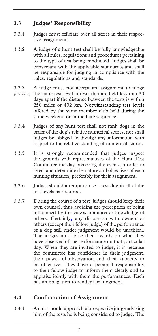# **3.3 Judges' Responsibility**

- 3.3.1 Judges must officiate over all series in their respective assignments.
- 3.3.2 A judge of a hunt test shall be fully knowledgeable with all rules, regulations and procedures pertaining to the type of test being conducted. Judges shall be conversant with the applicable standards, and shall be responsible for judging in compliance with the rules, regulations and standards.
- 3.3.3 A judge must not accept an assignment to judge (67-06-20) the same test level at tests that are held less that 30 days apart if the distance between the tests is within 250 miles or 402 km. Notwithstanding test levels offered by the same member club held during the same weekend or immediate sequence.
- 3.3.4 Judges of any hunt test shall not rank dogs in the order of the dog's relative numerical scores, nor shall judges be obliged to divulge any information with respect to the relative standing of numerical scores.
- 3.3.5 It is strongly recommended that judges inspect the grounds with representatives of the Hunt Test Committee the day preceding the event, in order to select and determine the nature and objectives of each hunting situation, preferably for their assignment.
- 3.3.6 Judges should attempt to use a test dog in all of the test levels as required.
- 3.3.7 During the course of a test, judges should keep their own counsel, thus avoiding the perception of being influenced by the views, opinions or knowledge of others. Certainly**,** any discussion with owners or others (except their fellow judge) of the performance of a dog still under judgment would be unethical. The judges must base their awards on what they have observed of the performance on that particular day. When they are invited to judge, it is because the committee has confidence in their judgment, their power of observation and their capacity to be objective. They have a personal responsibility to their fellow judge to inform them clearly and to appraise jointly with them the performances. Each has an obligation to render fair judgment.

## **3.4 Confirmation of Assignment**

3.4.1 A club should approach a prospective judge advising him of the tests he is being considered to judge. The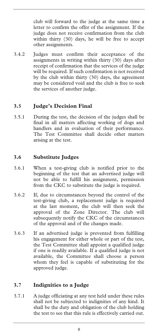club will forward to the judge at the same time a letter to confirm the offer of the assignment. If the judge does not receive confirmation from the club within thirty (30) days, he will be free to accept other assignments.

3.4.2 Judges must confirm their acceptance of the assignments in writing within thirty (30) days after receipt of confirmation that the services of the judge will be required. If such confirmation is not received by the club within thirty (30) days, the agreement may be considered void and the club is free to seek the services of another judge.

## **3.5 Judge's Decision Final**

3.5.1 During the test, the decision of the judges shall be final in all matters affecting working of dogs and handlers and in evaluation of their performance. The Test Committee shall decide other matters arising at the test.

#### **3.6 Substitute Judges**

- 3.6.1 When a test-giving club is notified prior to the beginning of the test that an advertised judge will not be able to fulfill his assignment, permission from the CKC to substitute the judge is required.
- 3.6.2 If, due to circumstances beyond the control of the test-giving club, a replacement judge is required at the last moment, the club will then seek the approval of the Zone Director. The club will subsequently notify the CKC of the circumstances of the approval and of the changes made.
- 3.6.3 If an advertised judge is prevented from fulfilling his engagement for either whole or part of the test, the Test Committee shall appoint a qualified judge if one is readily available. If a qualified judge is not available, the Committee shall choose a person whom they feel is capable of substituting for the approved judge.

#### **3.7 Indignities to a Judge**

3.7.1 A judge officiating at any test held under these rules shall not be subjected to indignities of any kind. It shall be the duty and obligation of the club holding the test to see that this rule is effectively carried out.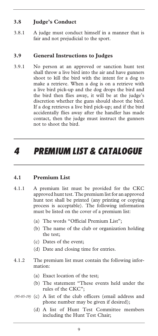## **3.8 Judge's Conduct**

3.8.1 A judge must conduct himself in a manner that is fair and not prejudicial to the sport.

#### **3.9 General Instructions to Judges**

3.9.1 No person at an approved or sanction hunt test shall throw a live bird into the air and have gunners shoot to kill the bird with the intent for a dog to make a retrieve. When a dog is on a retrieve with a live bird pick-up and the dog drops the bird and the bird then flies away, it will be at the judge's discretion whether the guns should shoot the bird. If a dog retrieves a live bird pick-up; and if the bird accidentally flies away after the handler has made contact, then the judge must instruct the gunners not to shoot the bird.

# *4 PREMIUM LIST & CATALOGUE*

#### **4.1 Premium List**

- 4.1.1 A premium list must be provided for the CKC approved hunt test. The premium list for an approved hunt test shall be printed (any printing or copying process is acceptable). The following information must be listed on the cover of a premium list:
	- (a) The words "Official Premium List";
	- (b) The name of the club or organization holding the test;
	- (c) Dates of the event;
	- (d) Date and closing time for entries.
- 4.1.2 The premium list must contain the following information:
	- (a) Exact location of the test;
	- (b) The statement "These events held under the rules of the CKC";
- (95-05-19) (c) A list of the club officers (email address and phone number may be given if desired);
	- (d) A list of Hunt Test Committee members including the Hunt Test Chair;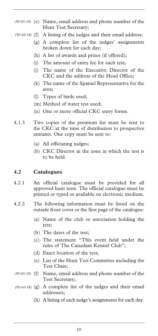- (e) Name, email address and phone number of the *(95-05-19)*  Hunt Test Secretary;
- (f) A listing of the judges and their email address; *(95-05-19)* 
	- (g) A complete list of the judges' assignments broken down for each day;
	- (h) A list of awards and prizes (if offered);
	- (i) The amount of entry fee for each test;
	- (j) The name of the Executive Director of the CKC and the address of the Head Office;
	- (k) The name of the Spaniel Representative for the area;
	- (l) Types of birds used;
	- (m) Method of water test used;
	- (n) One or more official CKC entry forms.
- 4.1.3 Two copies of the premium list must be sent to the CKC at the time of distribution to prospective entrants. One copy must be sent to:
	- (a) All officiating judges;
	- (b) CKC Director in the zone in which the test is to be held.

#### **4.2 Catalogues**

- 4.2.1 An official catalogue must be provided for all approved hunt tests. The official catalogue must be printed or typed or available on electronic medium.
- 4.2.2 The following information must be listed on the outside front cover or the first page of the catalogue:
	- (a) Name of the club or association holding the test;
	- (b) The dates of the test;
	- (c) The statement "This event held under the rules of The Canadian Kennel Club";
	- (d) Exact location of the test;
	- (e) List of the Hunt Test Committee including the Test Chair;
- (f) Name, email address and phone number of the *(95-05-19)*  Test Secretary;
- (g) A complete list of the judges and their email *(95-05-19)*  addresses;
	- (h) A listing of each judge's assignments for each day.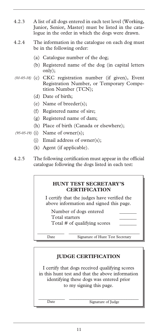- 4.2.3 A list of all dogs entered in each test level (Working, Junior, Senior, Master) must be listed in the catalogue in the order in which the dogs were drawn.
- 4.2.4 The information in the catalogue on each dog must be in the following order:
	- (a) Catalogue number of the dog;
	- (b) Registered name of the dog (in capital letters only);
- (c) CKC registration number (if given), Event *(01-05-18)*  Registration Number, or Temporary Competition Number (TCN);
	- (d) Date of birth;
	- (e) Name of breeder(s);
	- (f) Registered name of sire;
	- (g) Registered name of dam;
	- (h) Place of birth (Canada or elsewhere);
- (95-05-19) (i) Name of owner(s);
	- (j) Email address of owner(s);
	- (k) Agent (if applicable).
- 4.2.5 The following certification must appear in the official catalogue following the dogs listed in each test:

#### **HUNT TEST SECRETARY'S CERTIFICATION**

I certify that the judges have verified the above information and signed this page.

Number of dogs entered \_\_\_\_\_\_\_ Total starters \_\_\_\_\_\_\_ Total # of qualifying scores \_\_\_\_\_\_\_

\_\_\_\_\_\_\_\_\_\_\_ \_\_\_\_\_\_\_\_\_\_\_\_\_\_\_\_\_\_\_\_\_\_\_\_\_\_\_\_\_ Date Signature of Hunt Test Secretary

## **JUDGE CERTIFICATION**

I certify that dogs received qualifying scores in this hunt test and that the above information identifying these dogs was entered prior to my signing this page.

Date Signature of Judge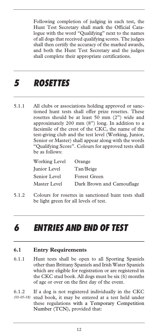Following completion of judging in each test, the Hunt Test Secretary shall mark the Official Catalogue with the word "Qualifying" next to the names of all dogs that received qualifying scores. The judges shall then certify the accuracy of the marked awards, and both the Hunt Test Secretary and the judges shall complete their appropriate certifications.

# *5 ROSETTES*

5.1.1 All clubs or associations holding approved or sanctioned hunt tests shall offer prize rosettes. These rosettes should be at least 50 mm (2") wide and approximately 200 mm (8") long. In addition to a facsimile of the crest of the CKC, the name of the test-giving club and the test level (Working, Junior, Senior or Master) shall appear along with the words "Qualifying Score". Colours for approved tests shall be as follows:

| Working Level | Orange                    |
|---------------|---------------------------|
| Junior Level  | Tan/Beige                 |
| Senior Level  | <b>Forest Green</b>       |
| Master Level  | Dark Brown and Camouflage |

5.1.2 Colours for rosettes in sanctioned hunt tests shall be light green for all levels of test.

# *6 ENTRIES AND END OF TEST*

#### **6.1 Entry Requirements**

- 6.1.1 Hunt tests shall be open to all Sporting Spaniels other than Brittany Spaniels and Irish Water Spaniels which are eligible for registration or are registered in the CKC stud book. All dogs must be six (6) months of age or over on the first day of the event.
- 6.1.2 If a dog is not registered individually in the CKC stud book, it may be entered at a test held under *(01-05-18)* these regulations with a Temporary Competition Number (TCN), provided that: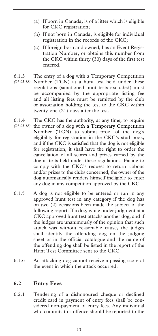- (a) If born in Canada, is of a litter which is eligible for CKC registration;
- (b) If not born in Canada, is eligible for individual registration in the records of the CKC;
- (c) If foreign born and owned, has an Event Registration Number, or obtains this number from the CKC within thirty (30) days of the first test entered.
- 6.1.3 The entry of a dog with a Temporary Competition Number (TCN) at a hunt test held under these *(01-05-18)*  regulations (sanctioned hunt tests excluded) must be accompanied by the appropriate listing fee and all listing fees must be remitted by the club or association holding the test to the CKC within twenty-one (21) days after the test.
- 6.1.4 The CKC has the authority, at any time, to require (01-05-18) the owner of a dog with a Temporary Competition Number (TCN) to submit proof of the dog's eligibility for registration in the CKC's stud book, and if the CKC is satisfied that the dog is not eligible for registration, it shall have the right to order the cancellation of all scores and prizes earned by the dog at tests held under these regulations. Failing to comply with the CKC's request to return ribbons and/or prizes to the clubs concerned, the owner of the dog automatically renders himself ineligible to enter any dog in any competition approved by the CKC.
- 6.1.5 A dog is not eligible to be entered or run in any approved hunt test in any category if the dog has on two (2) occasions been made the subject of the following report: If a dog, while under judgment at a CKC approved hunt test attacks another dog, and if the judges are unanimously of the opinion that such attack was without reasonable cause, the judges shall identify the offending dog on the judging sheet or in the official catalogue and the name of the offending dog shall be listed in the report of the Hunt Test Committee sent to the CKC.
- 6.1.6 An attacking dog cannot receive a passing score at the event in which the attack occurred.

#### **6.2 Entry Fees**

6.2.1 Tendering of a dishonoured cheque or declined credit card in payment of entry fees shall be considered non-payment of entry fees. Any individual who commits this offence should be reported to the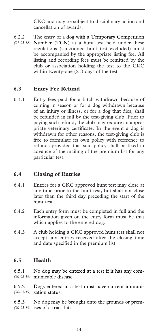CKC and may be subject to disciplinary action and cancellation of awards.

6.2.2 The entry of a dog with a Temporary Competition Number (TCN) at a hunt test held under these *(01-05-18)*  regulations (sanctioned hunt test excluded) must be accompanied by the appropriate listing fee. All listing and recording fees must be remitted by the club or association holding the test to the CKC within twenty-one (21) days of the test.

### **6.3 Entry Fee Refund**

6.3.1 Entry fees paid for a bitch withdrawn because of coming in season or for a dog withdrawn because of an injury or illness, or for a dog that dies, shall be refunded in full by the test-giving club. Prior to paying such refund, the club may require an appropriate veterinary certificate. In the event a dog is withdrawn for other reasons, the test-giving club is free to formulate its own policy with reference to refunds provided that said policy shall be fixed in advance of the mailing of the premium list for any particular test.

#### **6.4 Closing of Entries**

- 6.4.1 Entries for a CKC approved hunt test may close at any time prior to the hunt test, but shall not close later than the third day preceding the start of the hunt test.
- 6.4.2 Each entry form must be completed in full and the information given on the entry form must be that which applies to the entered dog.
- 6.4.3 A club holding a CKC approved hunt test shall not accept any entries received after the closing time and date specified in the premium list.

#### **6.5 Health**

6.5.1 No dog may be entered at a test if it has any communicable disease. *(90-05-19)* 

6.5.2 Dogs entered in a test must have current immunization status. *(90-05-19)* 

6.5.3 No dog may be brought onto the grounds or premises of a trial if it: *(90-05-19)*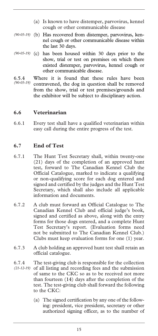- (a) Is known to have distemper, parvovirus, kennel cough or other communicable disease
- (90-05-19) (b) Has recovered from distemper, parvovirus, kennel cough or other communicable disease within the last 30 days.
- (90-05-19) (c) has been housed within 30 days prior to the show, trial or test on premises on which there existed distemper, parvovirus, kennel cough or other communicable disease.
- 6.5.4 Where it is found that these rules have been contravened, the dog in question shall be removed from the show, trial or test premises/grounds and the exhibitor will be subject to disciplinary action. *(90-05-19)*

#### **6.6 Veterinarian**

6.6.1 Every test shall have a qualified veterinarian within easy call during the entire progress of the test.

#### **6.7 End of Test**

- 6.7.1 The Hunt Test Secretary shall, within twenty-one (21) days of the completion of an approved hunt test, forward to The Canadian Kennel Club the Official Catalogue, marked to indicate a qualifying or non-qualifying score for each dog entered and signed and certified by the judges and the Hunt Test Secretary, which shall also include all applicable information and documents.
- 6.7.2 A club must forward an Official Catalogue to The Canadian Kennel Club and official judge's book, signed and certified as above, along with the entry forms for those dogs entered, and a complete Hunt Test Secretary's report. (Evaluation forms need not be submitted to The Canadian Kennel Club.) Clubs must keep evaluation forms for one (1) year.
- 6.7.3 A club holding an approved hunt test shall retain an official catalogue.
- 6.7.4 The test-giving club is responsible for the collection (21-12-19) of all listing and recording fees and the submission of same to the CKC so as to be received not more than fourteen (14) days after the completion of the test. The test-giving club shall forward the following to the CKC:
	- (a) The signed certification by any one of the following: president, vice president, secretary or other authorized signing officer, as to the number of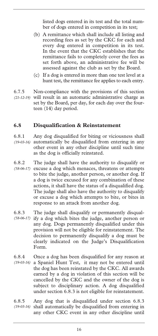listed dogs entered in its test and the total number of dogs entered in competition in its test;

- (b) A remittance which shall include all listing and recording fees as set by the CKC for each and every dog entered in competition in its test. In the event that the CKC establishes that the remittance fails to completely cover the fees as set forth above, an administrative fee will be assessed against the club as set by the Board.
- (c) If a dog is entered in more than one test level at a hunt test, the remittance fee applies to each entry.
- 6.7.5 Non-compliance with the provisions of this section (21-12-19) will result in an automatic administrative charge as set by the Board, per day, for each day over the fourteen (14) day period.

#### **6.8 Disqualification & Reinstatement**

- 6.8.1 Any dog disqualified for biting or viciousness shall automatically be disqualified from entering in any other event in any other discipline until such time as the dog is officially reinstated. *(19-03-16)*
- 6.8.2 The judge shall have the authority to disqualify or (58-06-17) excuse a dog which menaces, threatens or attempts to bite the judge, another person, or another dog. If a dog is twice excused for any combination of these actions, it shall have the status of a disqualified dog. The judge shall also have the authority to disqualify or excuse a dog which attempts to bite, or bites in response to an attack from another dog.
- 6.8.3 The judge shall disqualify or permanently disqualify a dog which bites the judge, another person or any dog. Dogs permanently disqualified under this provision will not be eligible for reinstatement. The decision to permanently disqualify a dog must be clearly indicated on the Judge's Disqualification Form. *(58-06-17)*
- 6.8.4 Once a dog has been disqualified for any reason at a Spaniel Hunt Test, it may not be entered until the dog has been reinstated by the CKC. All awards earned by a dog in violation of this section will be cancelled by the CKC and the owner of the dog is subject to disciplinary action. A dog disqualified under section 6.8.3 is not eligible for reinstatement. *(19-03-16)*
- 6.8.5 Any dog that is disqualified under section 6.8.3 shall automatically be disqualified from entering in *(19-03-16)* any other CKC event in any other discipline until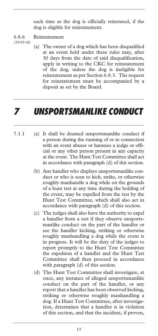such time as the dog is officially reinstated, if the dog is eligible for reinstatement.

#### 6.8.6 Reinstatement

*(19-03-16)* 

(a) The owner of a dog which has been disqualified at an event held under these rules may, after 30 days from the date of said disqualification, apply in writing to the CKC for reinstatement of the dog, unless the dog is ineligible for reinstatement as per Section 6.8.3. The request for reinstatement must be accompanied by a deposit as set by the Board.

# *7 UNSPORTSMANLIKE CONDUCT*

- 7.1.1 (a) It shall be deemed unsportsmanlike conduct if a person during the running of or in connection with an event abuses or harasses a judge or official or any other person present in any capacity at the event. The Hunt Test Committee shall act in accordance with paragraph (d) of this section.
	- (b) Any handler who displays unsportsmanlike conduct or who is seen to kick, strike, or otherwise roughly manhandle a dog while on the grounds of a hunt test at any time during the holding of the event, may be expelled from the test by the Hunt Test Committee, which shall also act in accordance with paragraph (d) of this section.
	- (c) The judges shall also have the authority to expel a handler from a test if they observe unsportsmanlike conduct on the part of the handler or see the handler kicking, striking or otherwise roughly manhandling a dog while the event is in progress. It will be the duty of the judges to report promptly to the Hunt Test Committee the expulsion of a handler and the Hunt Test Committee shall then proceed in accordance with paragraph (d) of this section.
	- (d) The Hunt Test Committee shall investigate, at once, any instance of alleged unsportsmanlike conduct on the part of the handler, or any report that a handler has been observed kicking, striking or otherwise roughly manhandling a dog. If a Hunt Test Committee, after investigation, determines that a handler is in violation of this section, and that the incident, if proven,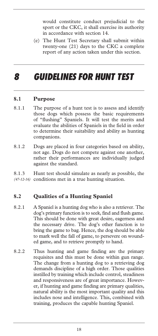would constitute conduct prejudicial to the sport or the CKC, it shall exercise its authority in accordance with section 14.

(e) The Hunt Test Secretary shall submit within twenty-one (21) days to the CKC a complete report of any action taken under this section.

# *8 GUIDELINES FOR HUNT TEST*

#### **8.1 Purpose**

- 8.1.1 The purpose of a hunt test is to assess and identify those dogs which possess the basic requirements of "flushing" Spaniels. It will test the merits and evaluate the abilities of Spaniels in the field in order to determine their suitability and ability as hunting companions.
- 8.1.2 Dogs are placed in four categories based on ability, not age. Dogs do not compete against one another, rather their performances are individually judged against the standard.

8.1.3 Hunt test should simulate as nearly as possible, the (47-12-16) conditions met in a true hunting situation.

#### **8.2 Qualities of a Hunting Spaniel**

- 8.2.1 A Spaniel is a hunting dog who is also a retriever. The dog's primary function is to seek, find and flush game. This should be done with great desire, eagerness and the necessary drive. The dog's other function is to bring the game to bag. Hence, the dog should be able to mark well the fall of game, to persevere on wounded game, and to retrieve promptly to hand.
- 8.2.2 Thus hunting and game finding are the primary requisites and this must be done within gun range. The change from a hunting dog to a retrieving dog demands discipline of a high order. Those qualities instilled by training which include control, steadiness and responsiveness are of great importance. However, if hunting and game finding are primary qualities, natural ability is the most important quality and this includes nose and intelligence. This, combined with training, produces the capable hunting Spaniel.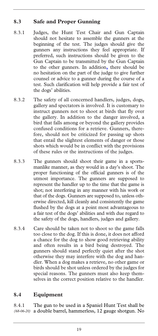## **8.3 Safe and Proper Gunning**

- 8.3.1 Judges, the Hunt Test Chair and Gun Captain should not hesitate to assemble the gunners at the beginning of the test. The judges should give the gunners any instructions they feel appropriate. If preferred, such instructions should be given to the Gun Captain to be transmitted by the Gun Captain to the other gunners. In addition**,** there should be no hesitation on the part of the judge to give further counsel or advice to a gunner during the course of a test. Such clarification will help provide a fair test of the dogs' abilities.
- 8.3.2 The safety of all concerned handlers, judges, dogs, gallery and spectators is involved. It is customary to instruct gunners not to shoot at birds that fly over the gallery. In addition to the danger involved, a bird that falls among or beyond the gallery provides confused conditions for a retrieve. Gunners, therefore, should not be criticized for passing up shots that entail the slightest elements of danger or those shots which would be in conflict with the provisions of these rules or the instructions of the judges.
- 8.3.3 The gunners should shoot their game in a sportsmanlike manner, as they would in a day's shoot. The proper functioning of the official gunners is of the utmost importance. The gunners are supposed to represent the handler up to the time that the game is shot; not interfering in any manner with his work or that of the dogs. Gunners are supposed to, unless otherwise directed, kill cleanly and consistently the game flushed by the dogs at a point most advantageous to a fair test of the dogs' abilities and with due regard to the safety of the dogs, handlers, judges and gallery.
- 8.3.4 Care should be taken not to shoot so the game falls too close to the dog. If this is done, it does not afford a chance for the dog to show good retrieving ability and often results in a bird being destroyed. The gunners should stand perfectly quiet after the shot otherwise they may interfere with the dog and handler. When a dog makes a retrieve, no other game or birds should be shot unless ordered by the judges for special reasons. The gunners must also keep themselves in the correct position relative to the handler.

# **8.4 Equipment**

8.4.1 The gun to be used in a Spaniel Hunt Test shall be *(68-06-20)* a double barrel, hammerless, 12 gauge shotgun. No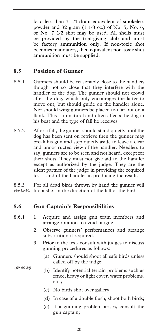load less than 3 1⁄4 dram equivalent of smokeless powder and 32 gram (1 1⁄8 oz.) of No. 5, No. 6, or No. 7 1⁄2 shot may be used. All shells must be provided by the trial-giving club and must be factory ammunition only. If non-toxic shot becomes mandatory, then equivalent non-toxic shot ammunition must be supplied.

#### **8.5 Position of Gunner**

- 8.5.1 Gunners should be reasonably close to the handler, though not so close that they interfere with the handler or the dog. The gunner should not crowd after the dog, which only encourages the latter to move out, but should guide on the handler alone. Nor should wing gunners be placed too far out on a flank. This is unnatural and often affects the dog in his beat and the type of fall he receives.
- 8.5.2 After a fall, the gunner should stand quietly until the dog has been sent on retrieve then the gunner may break his gun and step quietly aside to leave a clear and unobstructed view of the handler. Needless to say, gunners are to be seen and not heard, except for their shots. They must not give aid to the handler except as authorized by the judge. They are the silent partner of the judge in providing the required test – and of the handler in producing the result.

8.5.3 For all dead birds thrown by hand the gunner will fire a shot in the direction of the fall of the bird. *(48-12-16)* 

#### **8.6 Gun Captain's Responsibilities**

- 8.6.1 1. Acquire and assign gun team members and arrange rotation to avoid fatigue.
	- 2. Observe gunners' performances and arrange substitution if required.
	- 3. Prior to the test, consult with judges to discuss gunning procedures as follows:
		- (a) Gunners should shoot all safe birds unless called off by the judge;

*(69-06-20)* 

- (b) Identify potential terrain problems such as fence, heavy or light cover, water problems, etc.;
- (c) No birds shot over gallery;
- (d) In case of a double flush, shoot both birds;
- (e) If a gunning problem arises, consult the gun captain;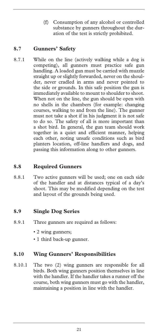(f) Consumption of any alcohol or controlled substance by gunners throughout the duration of the test is strictly prohibited.

### **8.7 Gunners' Safety**

8.7.1 While on the line (actively walking while a dog is competing), all gunners must practice safe gun handling. A loaded gun must be carried with muzzle straight up or slightly forwarded, never on the shoulder, never cradled in arms and never pointed to the side or grounds. In this safe position the gun is immediately available to mount to shoulder to shoot. When not on the line, the gun should be open with no shells in the chambers (for example: changing courses, walking to and from the line). The gunner must not take a shot if in his judgment it is not safe to do so. The safety of all is more important than a shot bird. In general, the gun team should work together in a quiet and efficient manner, helping each other, noting unsafe conditions such as bird planters location, off-line handlers and dogs, and passing this information along to other gunners.

#### **8.8 Required Gunners**

8.8.1 Two active gunners will be used; one on each side of the handler and at distances typical of a day's shoot. This may be modified depending on the test and layout of the grounds being used.

#### **8.9 Single Dog Series**

- 8.9.1 Three gunners are required as follows:
	- 2 wing gunners;
	- 1 third back-up gunner.

#### **8.10 Wing Gunners' Responsibilities**

8.10.1 The two (2) wing gunners are responsible for all birds. Both wing gunners position themselves in line with the handler. If the handler takes a runner off the course, both wing gunners must go with the handler, maintaining a position in line with the handler.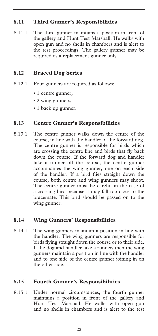## **8.11 Third Gunner's Responsibilities**

8.11.1 The third gunner maintains a position in front of the gallery and Hunt Test Marshall. He walks with open gun and no shells in chambers and is alert to the test proceedings. The gallery gunner may be required as a replacement gunner only.

#### **8.12 Braced Dog Series**

- 8.12.1 Four gunners are required as follows:
	- 1 centre gunner;
	- 2 wing gunners;
	- 1 back up gunner.

### **8.13 Centre Gunner's Responsibilities**

8.13.1 The centre gunner walks down the centre of the course, in line with the handler of the forward dog. The centre gunner is responsible for birds which are crossing the centre line and birds that fly back down the course. If the forward dog and handler take a runner off the course, the centre gunner accompanies the wing gunner, one on each side of the handler. If a bird flies straight down the course, both centre and wing gunners may shoot. The centre gunner must be careful in the case of a crossing bird because it may fall too close to the bracemate. This bird should be passed on to the wing gunner.

#### **8.14 Wing Gunners' Responsibilities**

8.14.1 The wing gunners maintain a position in line with the handler. The wing gunners are responsible for birds flying straight down the course or to their side. If the dog and handler take a runner, then the wing gunners maintain a position in line with the handler and to one side of the centre gunner joining in on the other side.

#### **8.15 Fourth Gunner's Responsibilities**

8.15.1 Under normal circumstances, the fourth gunner maintains a position in front of the gallery and Hunt Test Marshall. He walks with open gun and no shells in chambers and is alert to the test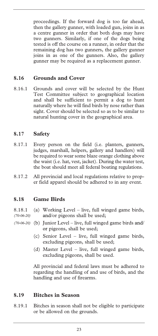proceedings. If the forward dog is too far ahead, then the gallery gunner, with loaded gun, joins in as a centre gunner in order that both dogs may have two gunners. Similarly, if one of the dogs being tested is off the course on a runner, in order that the remaining dog has two gunners, the gallery gunner joins in as one of the gunners. Also, the gallery gunner may be required as a replacement gunner.

#### **8.16 Grounds and Cover**

8.16.1 Grounds and cover will be selected by the Hunt Test Committee subject to geographical location and shall be sufficient to permit a dog to hunt naturally where he will find birds by nose rather than sight. Cover should be selected so as to be similar to natural hunting cover in the geographical area.

#### **8.17 Safety**

- 8.17.1 Every person on the field (i.e. planters, gunners, judges, marshall, helpers, gallery and handlers) will be required to wear some blaze orange clothing above the waist (i.e. hat, vest, jacket). During the water test, the boat should meet all federal boating regulations.
- 8.17.2 All provincial and local regulations relative to proper field apparel should be adhered to in any event.

#### **8.18 Game Birds**

- 8.18.1 (a) Working Level live, full winged game birds, and/or pigeons shall be used; *(70-06-20)*
- (b) Junior Level live, full winged game birds and/ *(70-06-20)* or pigeons, shall be used;
	- (c) Senior Level live, full winged game birds, excluding pigeons, shall be used;
	- (d) Master Level live, full winged game birds, excluding pigeons, shall be used.

All provincial and federal laws must be adhered to regarding the handling of and use of birds, and the handling and use of firearms.

#### **8.19 Bitches in Season**

8.19.1 Bitches in season shall not be eligible to participate or be allowed on the grounds.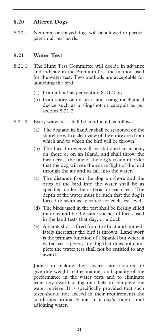### **8.20 Altered Dogs**

8.20.1 Neutered or spayed dogs will be allowed to participate in all test levels.

### **8.21 Water Test**

- 8.21.1 The Hunt Test Committee will decide in advance and indicate in the Premium List the method used for the water test. Two methods are acceptable for launching the bird:
	- (a) from a boat as per section 8.21.2 or;
	- (b) from shore or on an island using mechanical device such as a slingshot or catapult as per section 8.21.2
- 8.21.2 Every water test shall be conducted as follows:
	- (a) The dog and its handler shall be stationed on the shoreline with a clear view of the entire area from which and to which the bird will be thrown.
	- (b) The bird thrower will be stationed in a boat, on shore or on an island, and shall throw the bird across the line of the dog's vision in order that the dog will see the entire flight of the bird through the air and its fall into the water.
	- (c) The distance from the dog on shore and the drop of the bird into the water shall be as specified under the criteria for each test. The depth of the water must be such that the dog is forced to swim as specified for each test level.
	- (d) The birds used in the test shall be freshly killed that day and be the same species of birds used in the land tests that day, or a duck.
	- (e) A blank shot is fired from the boat and immediately thereafter the bird is thrown. Land work is the primary function of a Spaniel but where a water test is given, any dog that does not complete the water test shall not be entitled to any award.

Judges in making their awards are required to give due weight to the manner and quality of the performance in the water tests and to eliminate from any award a dog that fails to complete the water retrieve. It is specifically provided that such tests should not exceed in their requirements the conditions ordinarily met in a day's rough shoot adjoining water.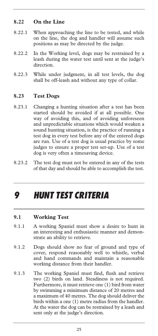## **8.22 On the Line**

- 8.22.1 When approaching the line to be tested, and while on the line, the dog and handler will assume such positions as may be directed by the judge.
- 8.22.2 In the Working level, dogs may be restrained by a leash during the water test until sent at the judge's direction.
- 8.22.3 While under judgment, in all test levels, the dog shall be off-leash and without any type of collar.

#### **8.23 Test Dogs**

- 8.23.1 Changing a hunting situation after a test has been started should be avoided if at all possible. One way of avoiding this, and of avoiding unforeseen and unpredictable situations which would weaken a sound hunting situation, is the practice of running a test dog in every test before any of the entered dogs are run. Use of a test dog is usual practice by some judges to ensure a proper test set-up. Use of a test dog is very often a timesaving device.
- 8.23.2 The test dog must not be entered in any of the tests of that day and should be able to accomplish the test.

# *9 HUNT TEST CRITERIA*

#### **9.1 Working Test**

- 9.1.1 A working Spaniel must show a desire to hunt in an interesting and enthusiastic manner and demonstrate an ability to retrieve.
- 9.1.2 Dogs should show no fear of ground and type of cover, respond reasonably well to whistle, verbal and hand commands and maintain a reasonable working distance from their handler.
- 9.1.3 The working Spaniel must find, flush and retrieve two (2) birds on land. Steadiness is not required. Furthermore, it must retrieve one (1) bird from water by swimming a minimum distance of 20 metres and a maximum of 40 metres. The dog should deliver the birds within a one (1) metre radius from the handler. At the water the dog can be restrained by a leash and sent only at the judge's direction.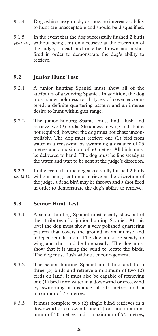- 9.1.4 Dogs which are gun-shy or show no interest or ability to hunt are unacceptable and should be disqualified.
- 9.1.5 In the event that the dog successfully flushed 2 birds (49-12-16) without being sent on a retrieve at the discretion of the judge, a dead bird may be thrown and a shot fired in order to demonstrate the dog's ability to retrieve.

#### **9.2 Junior Hunt Test**

- 9.2.1 A junior hunting Spaniel must show all of the attributes of a working Spaniel. In addition, the dog must show boldness to all types of cover encountered, a definite quartering pattern and an intense desire to hunt within gun range.
- 9.2.2 The junior hunting Spaniel must find, flush and retrieve two (2) birds. Steadiness to wing and shot is not required, however the dog must not chase uncontrollably. The dog must retrieve one (1) bird from water in a crosswind by swimming a distance of 25 metres and a maximum of 50 metres. All birds must be delivered to hand. The dog must be line steady at the water and wait to be sent at the judge's direction.
- 9.2.3 In the event that the dog successfully flushed 2 birds without being sent on a retrieve at the discretion of *(50-12-16)* the judge, a dead bird may be thrown and a shot fired in order to demonstrate the dog's ability to retrieve.

#### **9.3 Senior Hunt Test**

- 9.3.1 A senior hunting Spaniel must clearly show all of the attributes of a junior hunting Spaniel. At this level the dog must show a very polished quartering pattern that covers the ground in an intense and independent fashion. The dog must be steady to wing and shot and be line steady. The dog must show that it is using the wind to locate the birds. The dog must flush without encouragement.
- 9.3.2 The senior hunting Spaniel must find and flush three (3) birds and retrieve a minimum of two (2) birds on land. It must also be capable of retrieving one (1) bird from water in a downwind or crosswind by swimming a distance of 50 metres and a maximum of 75 metres.
- 9.3.3 It must complete two (2) single blind retrieves in a downwind or crosswind; one (1) on land at a minimum of 50 metres and a maximum of 75 metres,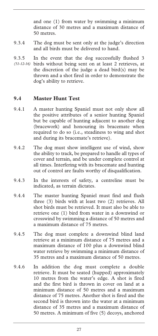and one (1) from water by swimming a minimum distance of 30 metres and a maximum distance of 50 metres.

- 9.3.4 The dog must be sent only at the judge's direction and all birds must be delivered to hand.
- 9.3.5 In the event that the dog successfully flushed 3 birds without being sent on at least 2 retrieves, at *(51-12-16)*  the discretion of the judge a dead bird(s) may be thrown and a shot fired in order to demonstrate the dog's ability to retrieve.

#### **9.4 Master Hunt Test**

- 9.4.1 A master hunting Spaniel must not only show all the positive attributes of a senior hunting Spaniel but be capable of hunting adjacent to another dog (bracework) and honouring its bracemate when required to do so (i.e., steadiness to wing and shot and during its bracemate's retrieve).
- 9.4.2 The dog must show intelligent use of wind, show the ability to track, be prepared to handle all types of cover and terrain, and be under complete control at all times. Interfering with its bracemate and hunting out of control are faults worthy of disqualification.
- 9.4.3 In the interests of safety, a centreline must be indicated, as terrain dictates.
- 9.4.4 The master hunting Spaniel must find and flush three (3) birds with at least two (2) retrieves. All shot birds must be retrieved. It must also be able to retrieve one (1) bird from water in a downwind or crosswind by swimming a distance of 50 metres and a maximum distance of 75 metres.
- 9.4.5 The dog must complete a downwind blind land retrieve at a minimum distance of 75 metres and a maximum distance of 100 plus a downwind blind water retrieve by swimming a minimum distance of 35 metres and a maximum distance of 50 metres.
- 9.4.6 In addition the dog must complete a double retrieve. It must be seated (hupped) approximately 10 metres from the water's edge. A shot is fired and the first bird is thrown in cover on land at a minimum distance of 50 metres and a maximum distance of 75 metres. Another shot is fired and the second bird is thrown into the water at a minimum distance of 35 metres and a maximum distance of 50 metres. A minimum of five (5) decoys, anchored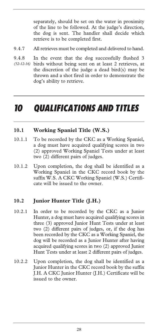separately, should be set on the water in proximity of the line to be followed. At the judge's direction, the dog is sent. The handler shall decide which retrieve is to be completed first.

- 9.4.7 All retrieves must be completed and delivered to hand.
- 9.4.8 In the event that the dog successfully flushed 3 birds without being sent on at least 2 retrieves, at the discretion of the judge a dead bird(s) may be thrown and a shot fired in order to demonstrate the dog's ability to retrieve. *(52-12-16)*

# *10 QUALIFICATIONS AND TITLES*

#### **10.1 Working Spaniel Title (W.S.)**

- 10.1.1 To be recorded by the CKC as a Working Spaniel, a dog must have acquired qualifying scores in two (2) approved Working Spaniel Tests under at least two (2) different pairs of judges.
- 10.1.2 Upon completion, the dog shall be identified as a Working Spaniel in the CKC record book by the suffix W.S. A CKC Working Spaniel (W.S.) Certificate will be issued to the owner.

#### **10.2 Junior Hunter Title (J.H.)**

- 10.2.1 In order to be recorded by the CKC as a Junior Hunter, a dog must have acquired qualifying scores in three (3) approved Junior Hunt Tests under at least two (2) different pairs of judges, or, if the dog has been recorded by the CKC as a Working Spaniel, the dog will be recorded as a Junior Hunter after having acquired qualifying scores in two (2) approved Junior Hunt Tests under at least 2 different pairs of judges.
- 10.2.2 Upon completion, the dog shall be identified as a Junior Hunter in the CKC record book by the suffix J.H. A CKC Junior Hunter (J.H.) Certificate will be issued to the owner.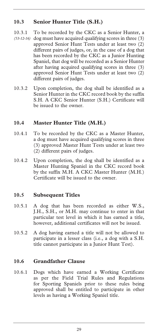## **10.3 Senior Hunter Title (S.H.)**

- 10.3.1 To be recorded by the CKC as a Senior Hunter, a (53-12-16) dog must have acquired qualifying scores in three (3) approved Senior Hunt Tests under at least two (2) different pairs of judges, or, in the case of a dog that has been recorded by the CKC as a Junior Hunting Spaniel, that dog will be recorded as a Senior Hunter after having acquired qualifying scores in three (3) approved Senior Hunt Tests under at least two (2) different pairs of judges.
- 10.3.2 Upon completion, the dog shall be identified as a Senior Hunter in the CKC record book by the suffix S.H. A CKC Senior Hunter (S.H.) Certificate will be issued to the owner.

## **10.4 Master Hunter Title (M.H.)**

- 10.4.1 To be recorded by the CKC as a Master Hunter, a dog must have acquired qualifying scores in three (3) approved Master Hunt Tests under at least two (2) different pairs of judges.
- 10.4.2 Upon completion, the dog shall be identified as a Master Hunting Spaniel in the CKC record book by the suffix M.H. A CKC Master Hunter (M.H.) Certificate will be issued to the owner.

#### **10.5 Subsequent Titles**

- 10.5.1 A dog that has been recorded as either W.S., J.H., S.H., or M.H. may continue to enter in that particular test level in which it has earned a title, however, additional certificates will not be issued.
- 10.5.2 A dog having earned a title will not be allowed to participate in a lesser class (i.e., a dog with a S.H. title cannot participate in a Junior Hunt Test).

#### **10.6 Grandfather Clause**

10.6.1 Dogs which have earned a Working Certificate as per the Field Trial Rules and Regulations for Sporting Spaniels prior to these rules being approved shall be entitled to participate in other levels as having a Working Spaniel title.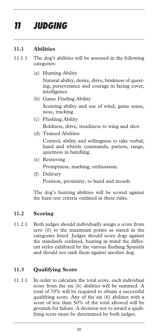# *11 JUDGING*

## **11.1 Abilities**

- 11.1.1 The dog's abilities will be assessed in the following categories:
	- (a) Hunting Ability

 Natural ability, desire, drive, briskness of questing, perseverance and courage in facing cover, intelligence.

- (b) Game Finding Ability Scenting ability and use of wind, game sense, nose, tracking.
- (c) Flushing Ability

Boldness, drive, steadiness to wing and shot.

(d) Trained Abilities

 Control, ability and willingness to take verbal, hand and whistle commands, pattern, range, quietness in handling.

- (e) Retrieving Promptness, marking, enthusiasm.
- (f) Delivery Position, proximity, to hand and mouth.

The dog's hunting abilities will be scored against the hunt test criteria outlined in these rules.

#### **11.2 Scoring**

11.2.1 Both judges should individually assign a score from zero (0) to the maximum points as stated in the categories listed. Judges should score dogs against the standards outlined, bearing in mind the different styles exhibited by the various flushing Spaniels and should not rank them against another dog.

#### **11.3 Qualifying Score**

11.3.1 In order to calculate the total score, each individual score from the six (6) abilities will be summed. A total of 70% will be required to obtain a successful qualifying score. Any of the six (6) abilities with a score of less than 50% of the total allowed will be grounds for failure. A decision not to award a qualifying score must be determined by both judges.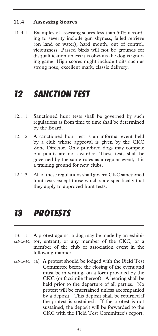## **11.4 Assessing Scores**

11.4.1 Examples of assessing scores less than 50% according to severity include gun shyness, failed retrieve (on land or water), hard mouth, out of control, viciousness. Passed birds will not be grounds for disqualification unless it is obvious the dog is ignoring game. High scores might include traits such as strong nose, excellent mark, classic delivery.

# *12 SANCTION TEST*

- 12.1.1 Sanctioned hunt tests shall be governed by such regulations as from time to time shall be determined by the Board.
- 12.1.2 A sanctioned hunt test is an informal event held by a club whose approval is given by the CKC Zone Director. Only purebred dogs may compete but points are not awarded. These tests shall be governed by the same rules as a regular event; it is a training ground for new clubs.
- 12.1.3 All of these regulations shall govern CKC sanctioned hunt tests except those which state specifically that they apply to approved hunt tests.

# *13 PROTESTS*

- 13.1.1 A protest against a dog may be made by an exhibi-(21-03-16) tor, entrant, or any member of the CKC, or a member of the club or association event in the following manner:
- (a) A protest should be lodged with the Field Test *(21-03-16)* Committee before the closing of the event and must be in writing, on a form provided by the CKC (or facsimile thereof). A hearing shall be held prior to the departure of all parties. No protest will be entertained unless accompanied by a deposit. This deposit shall be returned if the protest is sustained. If the protest is not sustained, the deposit will be forwarded to the CKC with the Field Test Committee's report.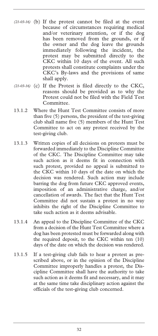- (21-03-16) (b) If the protest cannot be filed at the event because of circumstances requiring medical and/or veterinary attention, or if the dog has been removed from the grounds, or if the owner and the dog leave the grounds immediately following the incident, the protest may be submitted directly to the CKC within 10 days of the event. All such protests shall constitute complaints under the CKC's By-laws and the provisions of same shall apply.
- (21-03-16) (c) If the Protest is filed directly to the CKC, reasons should be provided as to why the Protest could not be filed with the Field Test Committee.
- 13.1.2 Where the Hunt Test Committee consists of more than five (5) persons, the president of the test-giving club shall name five (5) members of the Hunt Test Committee to act on any protest received by the test-giving club.
- 13.1.3 Written copies of all decisions on protests must be forwarded immediately to the Discipline Committee of the CKC. The Discipline Committee may take such action as it deems fit in connection with such protest, provided no appeal is submitted to the CKC within 10 days of the date on which the decision was rendered. Such action may include barring the dog from future CKC approved events, imposition of an administrative charge, and/or cancellation of awards. The fact that the Hunt Test Committee did not sustain a protest in no way inhibits the right of the Discipline Committee to take such action as it deems advisable.
- 13.1.4 An appeal to the Discipline Committee of the CKC from a decision of the Hunt Test Committee where a dog has been protested must be forwarded along with the required deposit, to the CKC within ten (10) days of the date on which the decision was rendered.
- 13.1.5 If a test-giving club fails to hear a protest as prescribed above, or in the opinion of the Discipline Committee improperly handles a protest, the Discipline Committee shall have the authority to take such action as it deems fit and necessary, and it may at the same time take disciplinary action against the officials of the test-giving club concerned.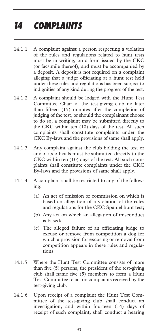# *14 COMPLAINTS*

- 14.1.1 A complaint against a person respecting a violation of the rules and regulations related to hunt tests must be in writing, on a form issued by the CKC (or facsimile thereof), and must be accompanied by a deposit. A deposit is not required on a complaint alleging that a judge officiating at a hunt test held under these rules and regulations has been subject to indignities of any kind during the progress of the test.
- 14.1.2 A complaint should be lodged with the Hunt Test Committee Chair of the test-giving club no later than fifteen (15) minutes after the completion of judging of the test, or should the complainant choose to do so, a complaint may be submitted directly to the CKC within ten (10) days of the test. All such complaints shall constitute complaints under the CKC By-laws and the provisions of same shall apply.
- 14.1.3 Any complaint against the club holding the test or any of its officials must be submitted directly to the CKC within ten (10) days of the test. All such complaints shall constitute complaints under the CKC By-laws and the provisions of same shall apply.
- 14.1.4 A complaint shall be restricted to any of the following:
	- (a) An act of omission or commission on which is based an allegation of a violation of the rules and regulations for the CKC Spaniel hunt test;
	- (b) Any act on which an allegation of misconduct is based;
	- (c) The alleged failure of an officiating judge to excuse or remove from competition a dog for which a provision for excusing or removal from competition appears in these rules and regulations.
- 14.1.5 Where the Hunt Test Committee consists of more than five (5) persons, the president of the test-giving club shall name five (5) members to form a Hunt Test Committee to act on complaints received by the test-giving club.
- 14.1.6 Upon receipt of a complaint the Hunt Test Committee of the test-giving club shall conduct an investigation, and within fourteen (14) days of receipt of such complaint, shall conduct a hearing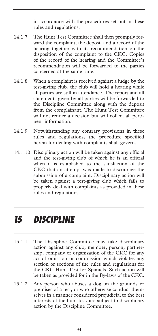in accordance with the procedures set out in these rules and regulations.

- 14.1.7 The Hunt Test Committee shall then promptly forward the complaint, the deposit and a record of the hearing together with its recommendation on the disposition of the complaint to the CKC. Copies of the record of the hearing and the Committee's recommendation will be forwarded to the parties concerned at the same time.
- 14.1.8 When a complaint is received against a judge by the test-giving club, the club will hold a hearing while all parties are still in attendance. The report and all statements given by all parties will be forwarded to the Discipline Committee along with the deposit from the complainant. The Hunt Test Committee will not render a decision but will collect all pertinent information.
- 14.1.9 Notwithstanding any contrary provisions in these rules and regulations, the procedure specified herein for dealing with complaints shall govern.
- 14.1.10 Disciplinary action will be taken against any official and the test-giving club of which he is an official when it is established to the satisfaction of the CKC that an attempt was made to discourage the submission of a complaint. Disciplinary action will be taken against a test-giving club which fails to properly deal with complaints as provided in these rules and regulations.

# *15 DISCIPLINE*

- 15.1.1 The Discipline Committee may take disciplinary action against any club, member, person, partnership, company or organization of the CKC for any act of omission or commission which violates any section or sections of the rules and regulations for the CKC Hunt Test for Spaniels. Such action will be taken as provided for in the By-laws of the CKC.
- 15.1.2 Any person who abuses a dog on the grounds or premises of a test, or who otherwise conduct themselves in a manner considered prejudicial to the best interests of the hunt test, are subject to disciplinary action by the Discipline Committee.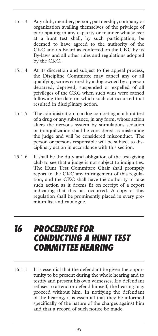- 15.1.3 Any club, member, person, partnership, company or organization availing themselves of the privilege of participating in any capacity or manner whatsoever at a hunt test shall, by such participation, be deemed to have agreed to the authority of the CKC and its Board as conferred on the CKC by its By-laws and all other rules and regulations adopted by the CKC.
- 15.1.4 At its discretion and subject to the appeal process, the Discipline Committee may cancel any or all qualifying scores earned by a dog owned by a person debarred, deprived, suspended or expelled of all privileges of the CKC when such wins were earned following the date on which such act occurred that resulted in disciplinary action.
- 15.1.5 The administration to a dog competing at a hunt test of a drug or any substance, in any form, whose action alters the nervous system by stimulation, sedation or tranquilization shall be considered as misleading the judge and will be considered misconduct. The person or persons responsible will be subject to disciplinary action in accordance with this section.
- 15.1.6 It shall be the duty and obligation of the test-giving club to see that a judge is not subject to indignities. The Hunt Test Committee Chair shall promptly report to the CKC any infringement of this regulation, and the CKC shall have the authority to take such action as it deems fit on receipt of a report indicating that this has occurred. A copy of this regulation shall be prominently placed in every premium list and catalogue.

# *16 PROCEDURE FOR CONDUCTING A HUNT TEST COMMITTEE HEARING*

16.1.1 It is essential that the defendant be given the opportunity to be present during the whole hearing and to testify and present his own witnesses. If a defendant refuses to attend or defend himself, the hearing may proceed without him. In notifying the defendant of the hearing, it is essential that they be informed specifically of the nature of the charges against him and that a record of such notice be made.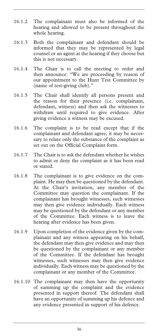- 16.1.2 The complainant must also be informed of the hearing and allowed to be present throughout the whole hearing.
- 16.1.3 Both the complainant and defendant should be informed that they may be represented by legal counsel or an agent at the hearing if they choose but this is not necessary.
- 16.1.4 The Chair is to call the meeting to order and then announce: "We are proceeding by reason of our appointment to the Hunt Test Committee by (name of test-giving club)."
- 16.1.5 The Chair shall identify all persons present and the reason for their presence (i.e. complainant, defendant, witness) and then ask the witnesses to withdraw until required to give evidence. After giving evidence a witness may be excused.
- 16.1.6 The complaint is to be read except that if the complainant and defendant agree, it may be necessary to relate only the substance of the complaint as set out on the Official Complaint form.
- 16.1.7 The Chair is to ask the defendant whether he wishes to admit or deny the complaint as it has been read or stated.
- 16.1.8 The complainant is to give evidence on the complaint. He may then be questioned by the defendant. At the Chair's invitation, any member of the Committee may question the complainant. If the complainant has brought witnesses, such witnesses may then give evidence individually. Each witness may be questioned by the defendant or any member of the Committee. Each witness is to leave the hearing after evidence has been given.
- 16.1.9 Upon completion of the evidence given by the complainant and any witness appearing on his behalf, the defendant may then give evidence and may then be questioned by the complainant or any member of the Committee. If the defendant has brought witnesses, such witnesses may then give evidence individually. Each witness may be questioned by the complainant or any member of the Committee.
- 16.1.10 The complainant may then have the opportunity of summing up the complaint and the evidence presented in support thereof. The defendant shall have an opportunity of summing up his defence and any evidence presented in support of his defence.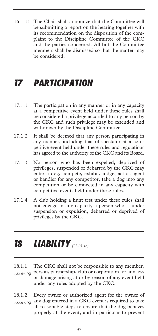16.1.11 The Chair shall announce that the Committee will be submitting a report on the hearing together with its recommendation on the disposition of the complaint to the Discipline Committee of the CKC and the parties concerned. All but the Committee members shall be dismissed so that the matter may be considered.

# *17 PARTICIPATION*

- 17.1.1 The participation in any manner or in any capacity at a competitive event held under these rules shall be considered a privilege accorded to any person by the CKC and such privilege may be extended and withdrawn by the Discipline Committee.
- 17.1.2 It shall be deemed that any person participating in any manner, including that of spectator at a competitive event held under these rules and regulations has agreed to the authority of the CKC and its Board.
- 17.1.3 No person who has been expelled, deprived of privileges, suspended or debarred by the CKC may enter a dog, compete, exhibit, judge, act as agent or handler for any competitor, take a dog into any competition or be connected in any capacity with competitive events held under these rules.
- 17.1.4 A club holding a hunt test under these rules shall not engage in any capacity a person who is under suspension or expulsion, debarred or deprived of privileges by the CKC.

# *18 LIABILITY (22-03-16)*

- 18.1.1 The CKC shall not be responsible to any member, person, partnership, club or corporation for any loss *(22-03-16)* or damage arising at or by reason of any event held under any rules adopted by the CKC.
- 18.1.2 Every owner or authorized agent for the owner of any dog entered in a CKC event is required to take all reasonable steps to ensure that the dog behaves properly at the event, and in particular to prevent *(22-03-16)*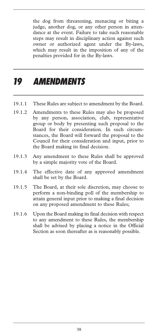the dog from threatening, menacing or biting a judge, another dog, or any other person in attendance at the event. Failure to take such reasonable steps may result in disciplinary action against such owner or authorized agent under the By-laws, which may result in the imposition of any of the penalties provided for in the By-laws.

# *19 AMENDMENTS*

- 19.1.1 These Rules are subject to amendment by the Board.
- 19.1.2 Amendments to these Rules may also be proposed by any person, association, club, representative group or body by presenting such proposal to the Board for their consideration. In such circumstances, the Board will forward the proposal to the Council for their consideration and input, prior to the Board making its final decision.
- 19.1.3 Any amendment to these Rules shall be approved by a simple majority vote of the Board.
- 19.1.4 The effective date of any approved amendment shall be set by the Board.
- 19.1.5 The Board, at their sole discretion, may choose to perform a non-binding poll of the membership to attain general input prior to making a final decision on any proposed amendment to these Rules;
- 19.1.6 Upon the Board making its final decision with respect to any amendment to these Rules, the membership shall be advised by placing a notice in the Official Section as soon thereafter as is reasonably possible.